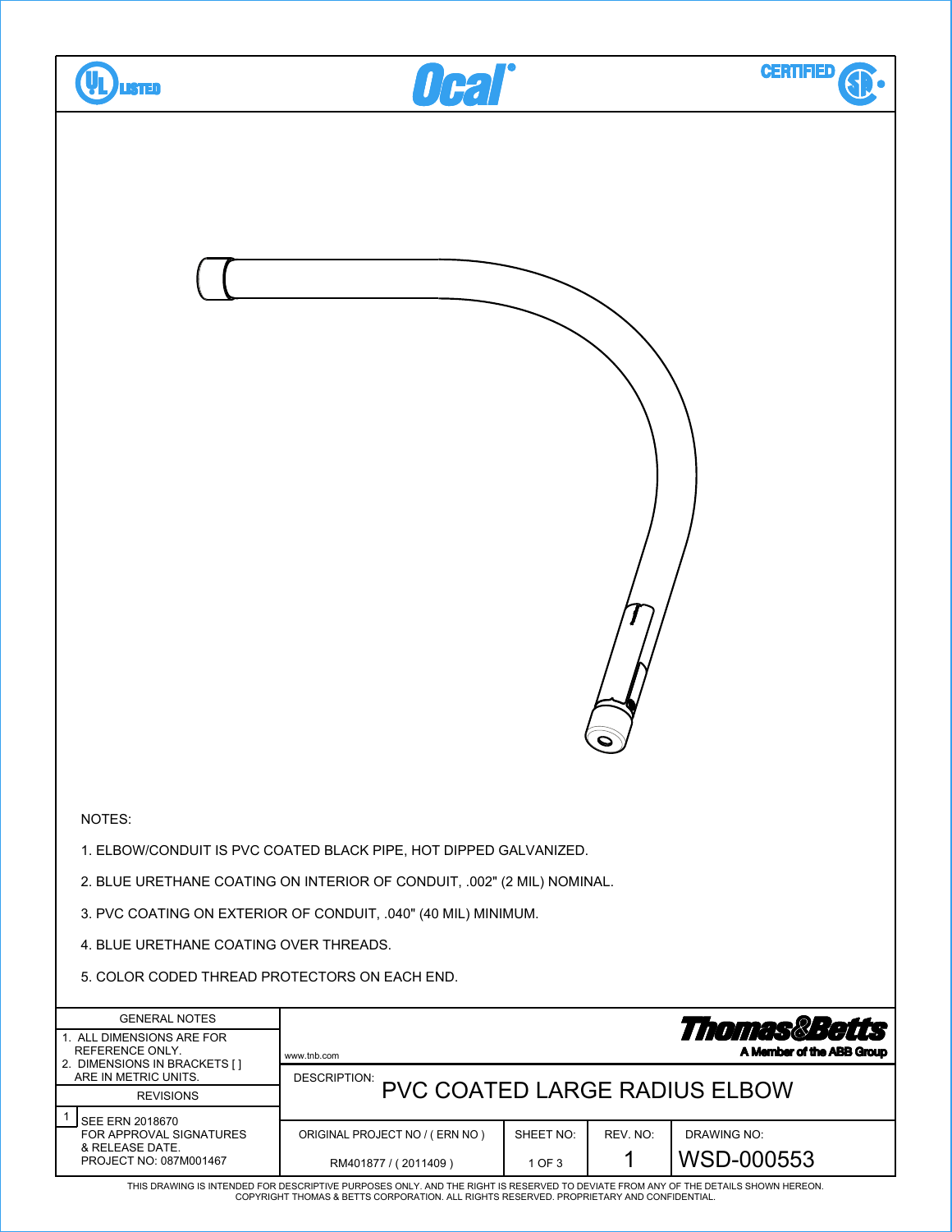

THIS DRAWING IS INTENDED FOR DESCRIPTIVE PURPOSES ONLY. AND THE RIGHT IS RESERVED TO DEVIATE FROM ANY OF THE DETAILS SHOWN HEREON. COPYRIGHT THOMAS & BETTS CORPORATION. ALL RIGHTS RESERVED. PROPRIETARY AND CONFIDENTIAL.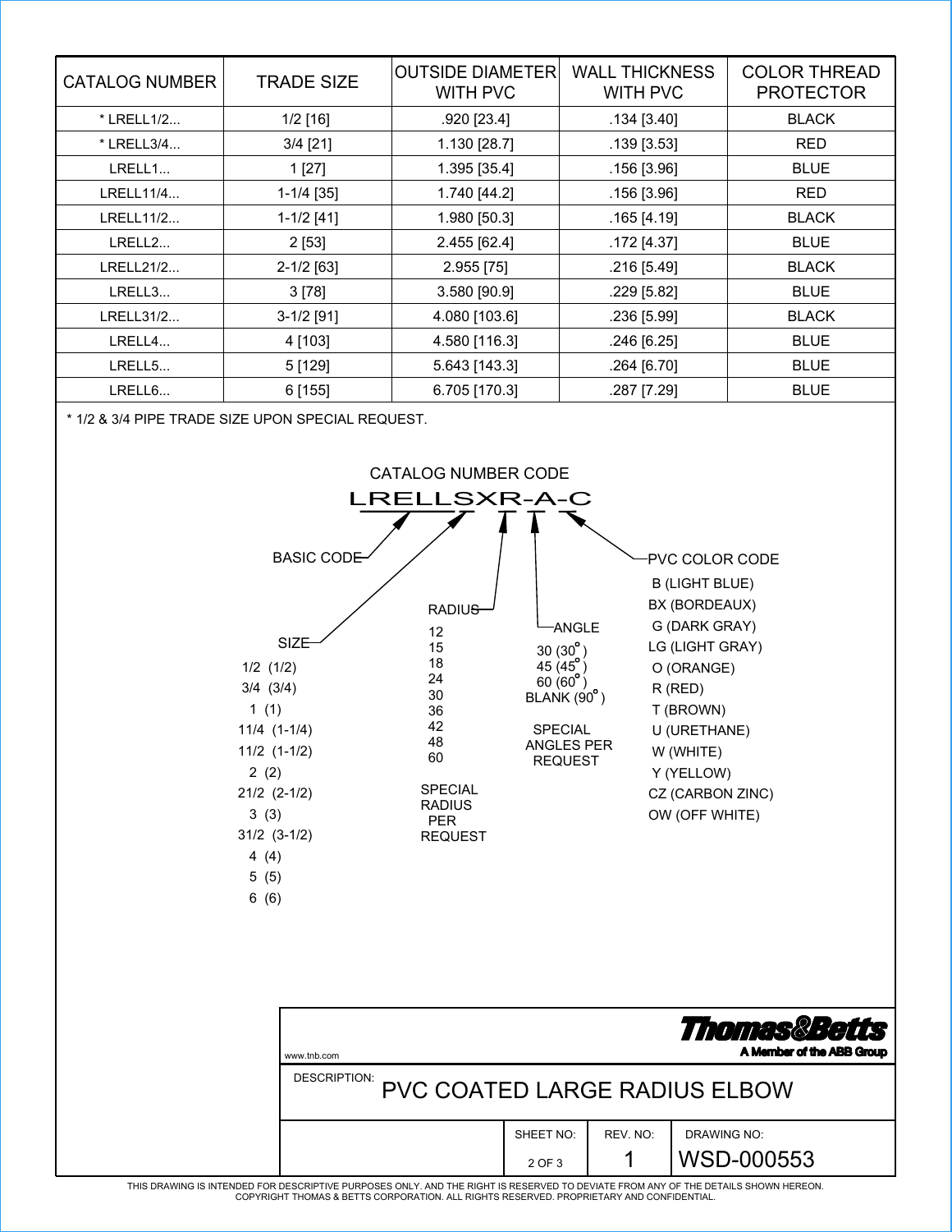| <b>CATALOG NUMBER</b> | <b>TRADE SIZE</b> | <b>OUTSIDE DIAMETER</b><br><b>WITH PVC</b> | <b>WALL THICKNESS</b><br><b>WITH PVC</b> | <b>COLOR THREAD</b><br><b>PROTECTOR</b> |
|-----------------------|-------------------|--------------------------------------------|------------------------------------------|-----------------------------------------|
| * LRELL1/2            | $1/2$ [16]        | .920 [23.4]                                | $.134$ [3.40]                            | <b>BLACK</b>                            |
| * LRELL3/4            | $3/4$ [21]        | 1.130 [28.7]                               | $.139$ [3.53]                            | <b>RED</b>                              |
| LRELL1                | 1 [27]            | 1.395 [35.4]                               | $.156$ [3.96]                            | <b>BLUE</b>                             |
| LRELL11/4             | $1-1/4$ [35]      | 1.740 [44.2]                               | $.156$ [3.96]                            | <b>RED</b>                              |
| LRELL11/2             | $1-1/2$ [41]      | 1.980 [50.3]                               | $.165$ [4.19]                            | <b>BLACK</b>                            |
| LRELL2                | $2$ [53]          | 2.455 [62.4]                               | .172 [4.37]                              | <b>BLUE</b>                             |
| LRELL21/2             | $2 - 1/2$ [63]    | 2.955 [75]                                 | .216 [5.49]                              | <b>BLACK</b>                            |
| LRELL3                | 3 [78]            | 3.580 [90.9]                               | .229 [5.82]                              | <b>BLUE</b>                             |
| LRELL31/2             | $3-1/2$ [91]      | 4.080 [103.6]                              | $.236$ [5.99]                            | <b>BLACK</b>                            |
| LRELL4                | 4 [103]           | 4.580 [116.3]                              | .246 [6.25]                              | <b>BLUE</b>                             |
| LRELL5                | 5[129]            | 5.643 [143.3]                              | .264 [6.70]                              | <b>BLUE</b>                             |
| LRELL6                | $6$ [155]         | 6.705 [170.3]                              | .287 [7.29]                              | <b>BLUE</b>                             |

\* 1/2 & 3/4 PIPE TRADE SIZE UPON SPECIAL REQUEST.



| www.tnb.com                                   |                     |          | <b>Thomas&amp;Betts</b><br>A Member of the ABB Group |  |
|-----------------------------------------------|---------------------|----------|------------------------------------------------------|--|
| DESCRIPTION:<br>PVC COATED LARGE RADIUS ELBOW |                     |          |                                                      |  |
|                                               | SHEET NO:<br>2 OF 3 | REV. NO: | DRAWING NO:<br>WSD-000553                            |  |

THIS DRAWING IS INTENDED FOR DESCRIPTIVE PURPOSES ONLY. AND THE RIGHT IS RESERVED TO DEVIATE FROM ANY OF THE DETAILS SHOWN HEREON.<br>COPYRIGHT THOMAS & BETTS CORPORATION. ALL RIGHTS RESERVED. PROPRIETARY AND CONFIDENTIAL.